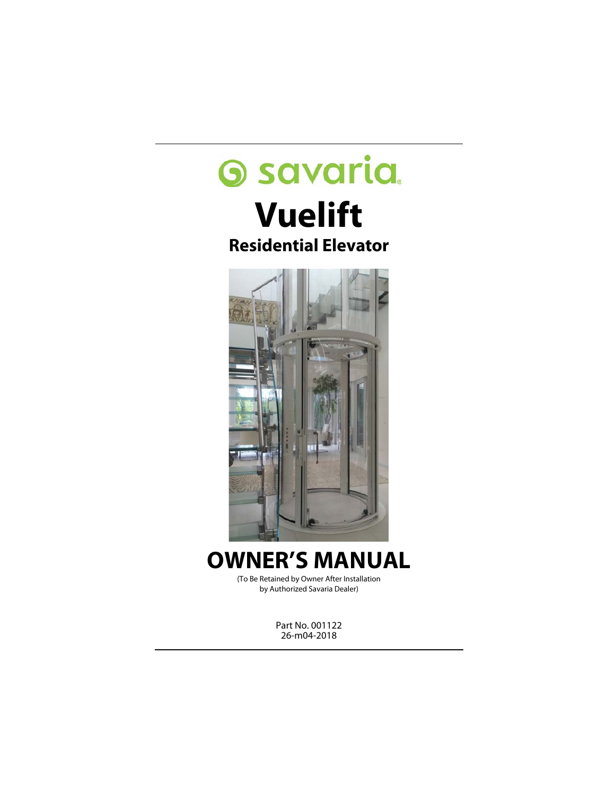# **Savaria**

# **Vuelift Residential Elevator**



# **OWNER'S MANUAL**

(To Be Retained by Owner After Installation by Authorized Savaria Dealer)

> Part No. 001122 26-m04-2018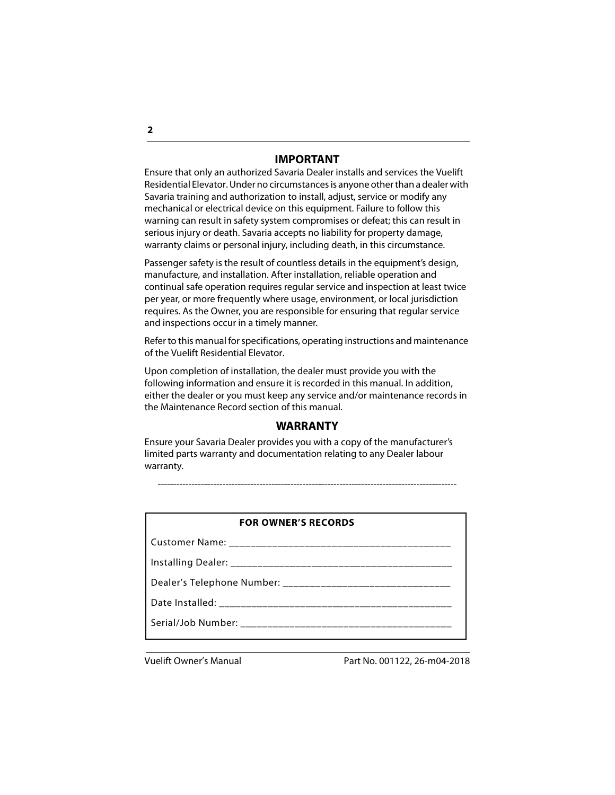#### **IMPORTANT**

Ensure that only an authorized Savaria Dealer installs and services the Vuelift Residential Elevator. Under no circumstances is anyone other than a dealer with Savaria training and authorization to install, adjust, service or modify any mechanical or electrical device on this equipment. Failure to follow this warning can result in safety system compromises or defeat; this can result in serious injury or death. Savaria accepts no liability for property damage, warranty claims or personal injury, including death, in this circumstance.

Passenger safety is the result of countless details in the equipment's design, manufacture, and installation. After installation, reliable operation and continual safe operation requires regular service and inspection at least twice per year, or more frequently where usage, environment, or local jurisdiction requires. As the Owner, you are responsible for ensuring that regular service and inspections occur in a timely manner.

Refer to this manual for specifications, operating instructions and maintenance of the Vuelift Residential Elevator.

Upon completion of installation, the dealer must provide you with the following information and ensure it is recorded in this manual. In addition, either the dealer or you must keep any service and/or maintenance records in the Maintenance Record section of this manual.

#### **WARRANTY**

Ensure your Savaria Dealer provides you with a copy of the manufacturer's limited parts warranty and documentation relating to any Dealer labour warranty.

-------------------------------------------------------------------------------------------------

| <b>FOR OWNER'S RECORDS</b> |  |
|----------------------------|--|
|----------------------------|--|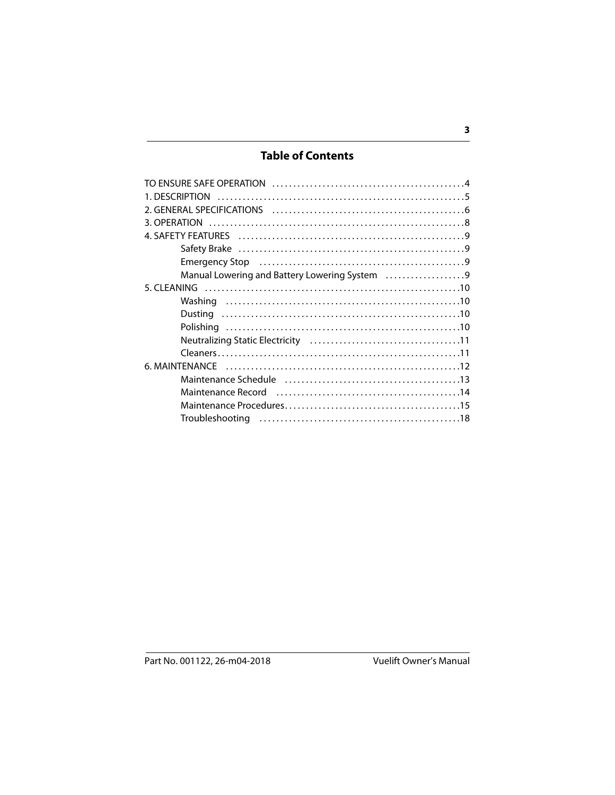# **Table of Contents**

| Emergency Stop (and according controller controller controller controller controller controller controller controller controller controller controller controller controller controller controller controller controller contr |  |
|--------------------------------------------------------------------------------------------------------------------------------------------------------------------------------------------------------------------------------|--|
| Manual Lowering and Battery Lowering System 9                                                                                                                                                                                  |  |
|                                                                                                                                                                                                                                |  |
|                                                                                                                                                                                                                                |  |
|                                                                                                                                                                                                                                |  |
|                                                                                                                                                                                                                                |  |
|                                                                                                                                                                                                                                |  |
|                                                                                                                                                                                                                                |  |
| 6. MAINTFNANCF                                                                                                                                                                                                                 |  |
|                                                                                                                                                                                                                                |  |
|                                                                                                                                                                                                                                |  |
|                                                                                                                                                                                                                                |  |
|                                                                                                                                                                                                                                |  |
|                                                                                                                                                                                                                                |  |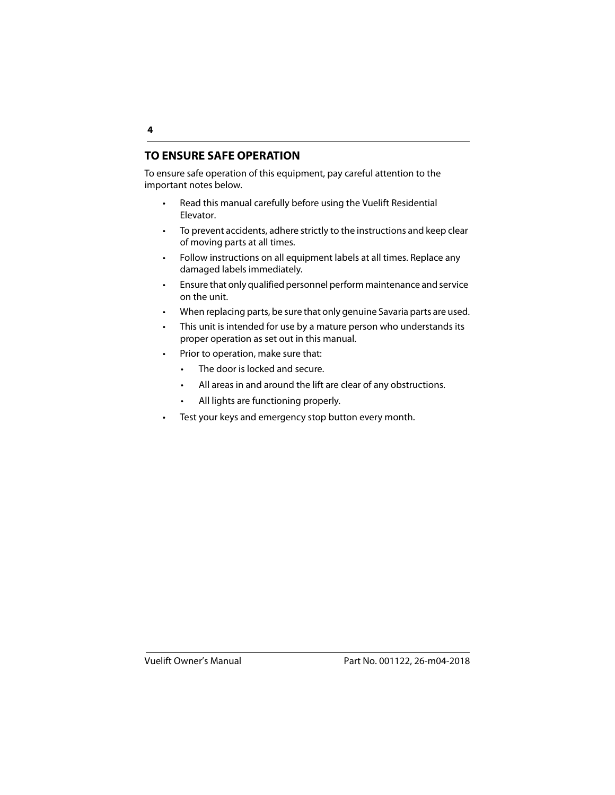# <span id="page-3-0"></span>**TO ENSURE SAFE OPERATION**

To ensure safe operation of this equipment, pay careful attention to the important notes below.

- Read this manual carefully before using the Vuelift Residential Elevator.
- To prevent accidents, adhere strictly to the instructions and keep clear of moving parts at all times.
- Follow instructions on all equipment labels at all times. Replace any damaged labels immediately.
- Ensure that only qualified personnel perform maintenance and service on the unit.
- When replacing parts, be sure that only genuine Savaria parts are used.
- This unit is intended for use by a mature person who understands its proper operation as set out in this manual.
- Prior to operation, make sure that:
	- The door is locked and secure.
	- All areas in and around the lift are clear of any obstructions.
	- All lights are functioning properly.
- Test your keys and emergency stop button every month.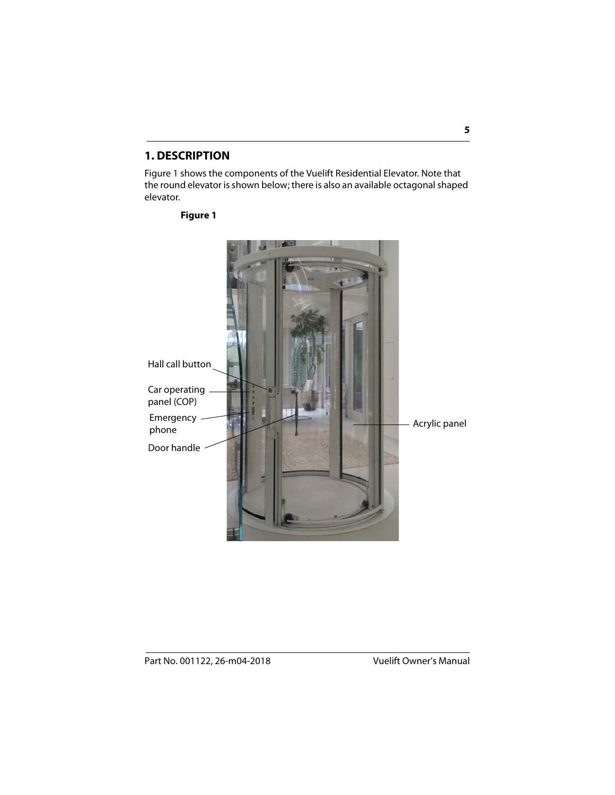# <span id="page-4-0"></span>**1. DESCRIPTION**

Figure 1 shows the components of the Vuelift Residential Elevator. Note that the round elevator is shown below; there is also an available octagonal shaped elevator.

#### **Figure 1**

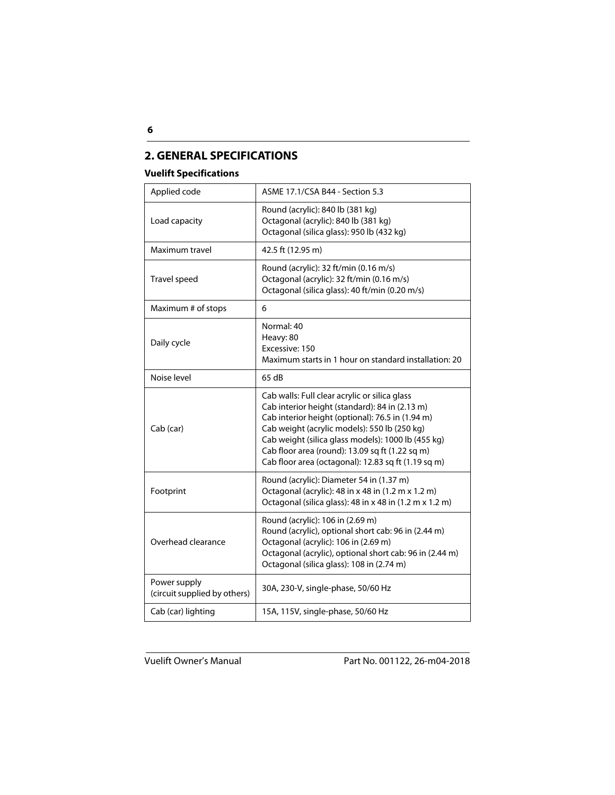# **2. GENERAL SPECIFICATIONS**

#### **Vuelift Specifications**

| Applied code                                 | ASME 17.1/CSA B44 - Section 5.3                                                                                                                                                                                                                                                                                                                                     |
|----------------------------------------------|---------------------------------------------------------------------------------------------------------------------------------------------------------------------------------------------------------------------------------------------------------------------------------------------------------------------------------------------------------------------|
| Load capacity                                | Round (acrylic): 840 lb (381 kg)<br>Octagonal (acrylic): 840 lb (381 kg)<br>Octagonal (silica glass): 950 lb (432 kg)                                                                                                                                                                                                                                               |
| Maximum travel                               | 42.5 ft (12.95 m)                                                                                                                                                                                                                                                                                                                                                   |
| Travel speed                                 | Round (acrylic): 32 ft/min (0.16 m/s)<br>Octagonal (acrylic): 32 ft/min (0.16 m/s)<br>Octagonal (silica glass): 40 ft/min (0.20 m/s)                                                                                                                                                                                                                                |
| Maximum # of stops                           | 6                                                                                                                                                                                                                                                                                                                                                                   |
| Daily cycle                                  | Normal: 40<br>Heavy: 80<br>Excessive: 150<br>Maximum starts in 1 hour on standard installation: 20                                                                                                                                                                                                                                                                  |
| Noise level                                  | 65 dB                                                                                                                                                                                                                                                                                                                                                               |
| Cab (car)                                    | Cab walls: Full clear acrylic or silica glass<br>Cab interior height (standard): 84 in (2.13 m)<br>Cab interior height (optional): 76.5 in (1.94 m)<br>Cab weight (acrylic models): 550 lb (250 kg)<br>Cab weight (silica glass models): 1000 lb (455 kg)<br>Cab floor area (round): 13.09 sq ft (1.22 sq m)<br>Cab floor area (octagonal): 12.83 sq ft (1.19 sq m) |
| Footprint                                    | Round (acrylic): Diameter 54 in (1.37 m)<br>Octagonal (acrylic): 48 in x 48 in (1.2 m x 1.2 m)<br>Octagonal (silica glass): 48 in x 48 in (1.2 m x 1.2 m)                                                                                                                                                                                                           |
| Overhead clearance                           | Round (acrylic): 106 in (2.69 m)<br>Round (acrylic), optional short cab: 96 in (2.44 m)<br>Octagonal (acrylic): 106 in (2.69 m)<br>Octagonal (acrylic), optional short cab: 96 in (2.44 m)<br>Octagonal (silica glass): 108 in (2.74 m)                                                                                                                             |
| Power supply<br>(circuit supplied by others) | 30A, 230-V, single-phase, 50/60 Hz                                                                                                                                                                                                                                                                                                                                  |
| Cab (car) lighting                           | 15A, 115V, single-phase, 50/60 Hz                                                                                                                                                                                                                                                                                                                                   |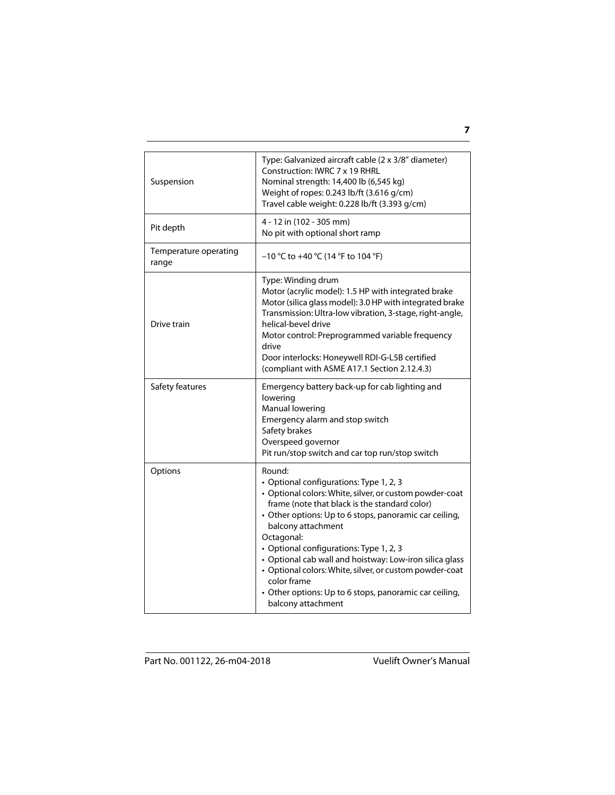| Suspension                     | Type: Galvanized aircraft cable (2 x 3/8" diameter)<br>Construction: IWRC 7 x 19 RHRL<br>Nominal strength: 14,400 lb (6,545 kg)<br>Weight of ropes: 0.243 lb/ft (3.616 g/cm)<br>Travel cable weight: 0.228 lb/ft (3.393 g/cm)                                                                                                                                                                                                                                                                                               |
|--------------------------------|-----------------------------------------------------------------------------------------------------------------------------------------------------------------------------------------------------------------------------------------------------------------------------------------------------------------------------------------------------------------------------------------------------------------------------------------------------------------------------------------------------------------------------|
| Pit depth                      | 4 - 12 in (102 - 305 mm)<br>No pit with optional short ramp                                                                                                                                                                                                                                                                                                                                                                                                                                                                 |
| Temperature operating<br>range | $-10$ °C to $+40$ °C (14 °F to 104 °F)                                                                                                                                                                                                                                                                                                                                                                                                                                                                                      |
| Drive train                    | Type: Winding drum<br>Motor (acrylic model): 1.5 HP with integrated brake<br>Motor (silica glass model): 3.0 HP with integrated brake<br>Transmission: Ultra-low vibration, 3-stage, right-angle,<br>helical-bevel drive<br>Motor control: Preprogrammed variable frequency<br>drive<br>Door interlocks: Honeywell RDI-G-L5B certified<br>(compliant with ASME A17.1 Section 2.12.4.3)                                                                                                                                      |
| Safety features                | Emergency battery back-up for cab lighting and<br>lowering<br>Manual lowering<br>Emergency alarm and stop switch<br>Safety brakes<br>Overspeed governor<br>Pit run/stop switch and car top run/stop switch                                                                                                                                                                                                                                                                                                                  |
| Options                        | Round:<br>• Optional configurations: Type 1, 2, 3<br>• Optional colors: White, silver, or custom powder-coat<br>frame (note that black is the standard color)<br>• Other options: Up to 6 stops, panoramic car ceiling,<br>balcony attachment<br>Octagonal:<br>• Optional configurations: Type 1, 2, 3<br>• Optional cab wall and hoistway: Low-iron silica glass<br>• Optional colors: White, silver, or custom powder-coat<br>color frame<br>• Other options: Up to 6 stops, panoramic car ceiling,<br>balcony attachment |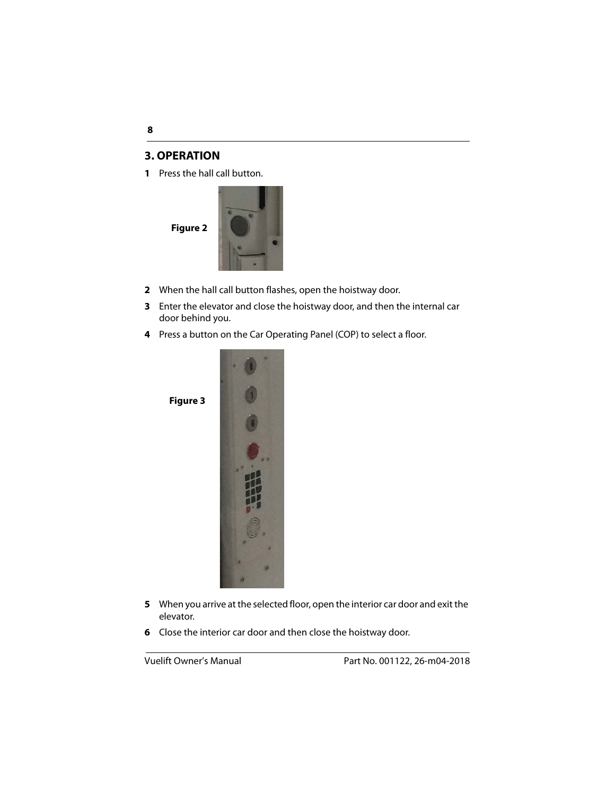#### <span id="page-7-0"></span>**3. OPERATION**

**1** Press the hall call button.



**Figure 3**



- **2** When the hall call button flashes, open the hoistway door.
- **3** Enter the elevator and close the hoistway door, and then the internal car door behind you.
- **4** Press a button on the Car Operating Panel (COP) to select a floor.



- **5** When you arrive at the selected floor, open the interior car door and exit the elevator.
- **6** Close the interior car door and then close the hoistway door.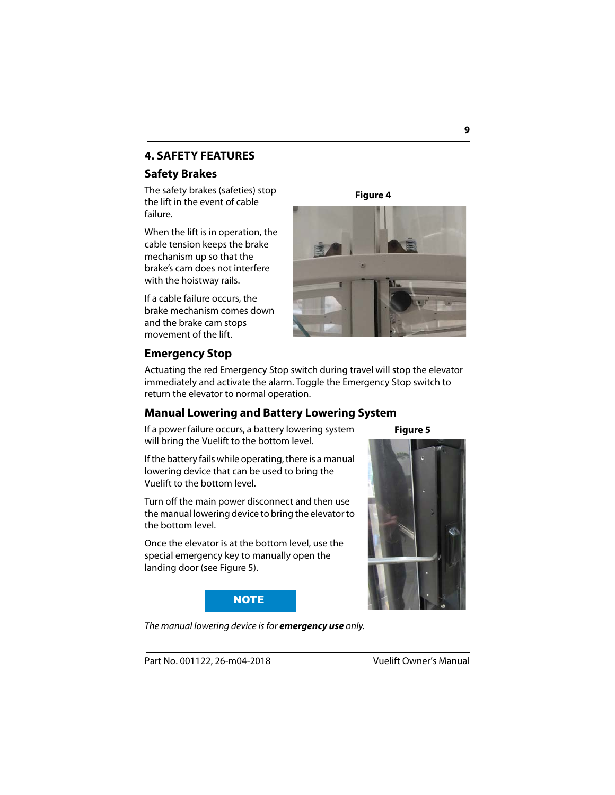# **4. SAFETY FEATURES**

# <span id="page-8-0"></span>**Safety Brakes**

The safety brakes (safeties) stop the lift in the event of cable failure.

When the lift is in operation, the cable tension keeps the brake mechanism up so that the brake's cam does not interfere with the hoistway rails.

If a cable failure occurs, the brake mechanism comes down and the brake cam stops movement of the lift.

**Figure 4**



# <span id="page-8-1"></span>**Emergency Stop**

Actuating the red Emergency Stop switch during travel will stop the elevator immediately and activate the alarm. Toggle the Emergency Stop switch to return the elevator to normal operation.

# <span id="page-8-2"></span>**Manual Lowering and Battery Lowering System**

If a power failure occurs, a battery lowering system will bring the Vuelift to the bottom level.

**Figure 5**

If the battery fails while operating, there is a manual lowering device that can be used to bring the Vuelift to the bottom level.

Turn off the main power disconnect and then use the manual lowering device to bring the elevator to the bottom level.

Once the elevator is at the bottom level, use the special emergency key to manually open the landing door (see Figure 5).



The manual lowering device is for **emergency use** only.

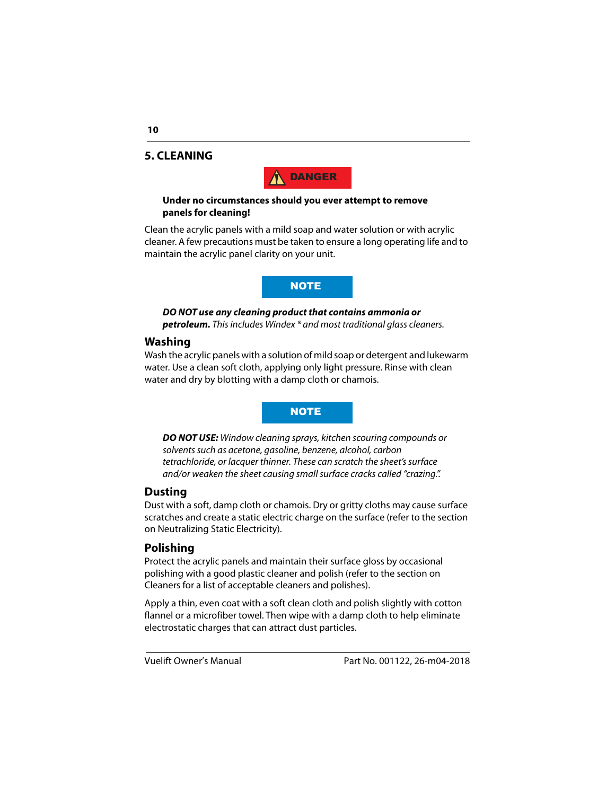#### **5. CLEANING**



#### **Under no circumstances should you ever attempt to remove panels for cleaning!**

Clean the acrylic panels with a mild soap and water solution or with acrylic cleaner. A few precautions must be taken to ensure a long operating life and to maintain the acrylic panel clarity on your unit.

**NOTE** 

**DO NOT use any cleaning product that contains ammonia or petroleum.** This includes Windex ® and most traditional glass cleaners.

#### **Washing**

Wash the acrylic panels with a solution of mild soap or detergent and lukewarm water. Use a clean soft cloth, applying only light pressure. Rinse with clean water and dry by blotting with a damp cloth or chamois.

#### **NOTE**

**DO NOT USE:** Window cleaning sprays, kitchen scouring compounds or solvents such as acetone, gasoline, benzene, alcohol, carbon tetrachloride, or lacquer thinner. These can scratch the sheet's surface and/or weaken the sheet causing small surface cracks called "crazing.".

#### **Dusting**

Dust with a soft, damp cloth or chamois. Dry or gritty cloths may cause surface scratches and create a static electric charge on the surface (refer to the section on Neutralizing Static Electricity).

# **Polishing**

Protect the acrylic panels and maintain their surface gloss by occasional polishing with a good plastic cleaner and polish (refer to the section on Cleaners for a list of acceptable cleaners and polishes).

Apply a thin, even coat with a soft clean cloth and polish slightly with cotton flannel or a microfiber towel. Then wipe with a damp cloth to help eliminate electrostatic charges that can attract dust particles.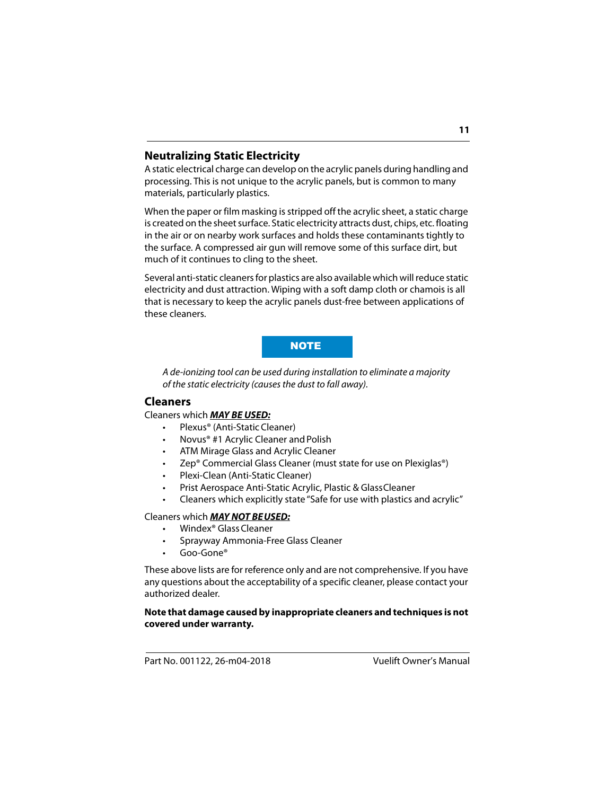# **Neutralizing Static Electricity**

A static electrical charge can develop on the acrylic panels during handling and processing. This is not unique to the acrylic panels, but is common to many materials, particularly plastics.

When the paper or film masking is stripped off the acrylic sheet, a static charge is created on the sheet surface. Static electricity attracts dust, chips, etc. floating in the air or on nearby work surfaces and holds these contaminants tightly to the surface. A compressed air gun will remove some of this surface dirt, but much of it continues to cling to the sheet.

Several anti-static cleaners for plastics are also available which will reduce static electricity and dust attraction. Wiping with a soft damp cloth or chamois is all that is necessary to keep the acrylic panels dust-free between applications of these cleaners.

#### **NOTE**

A de-ionizing tool can be used during installation to eliminate a majority of the static electricity (causes the dust to fall away).

# **Cleaners**

#### Cleaners which **MAY BE USED:**

- Plexus® (Anti-Static Cleaner)
- Novus® #1 Acrylic Cleaner and Polish
- ATM Mirage Glass and Acrylic Cleaner
- Zep® Commercial Glass Cleaner (must state for use on Plexiglas®)
- Plexi-Clean (Anti-Static Cleaner)
- Prist Aerospace Anti-Static Acrylic, Plastic & Glass Cleaner
- Cleaners which explicitly state "Safe for use with plastics and acrylic"

#### Cleaners which **MAY NOT BEUSED:**

- Windex® Glass Cleaner
- Sprayway Ammonia-Free Glass Cleaner
- Goo-Gone®

These above lists are for reference only and are not comprehensive. If you have any questions about the acceptability of a specific cleaner, please contact your authorized dealer.

#### **Note that damage caused by inappropriate cleaners and techniques is not covered under warranty.**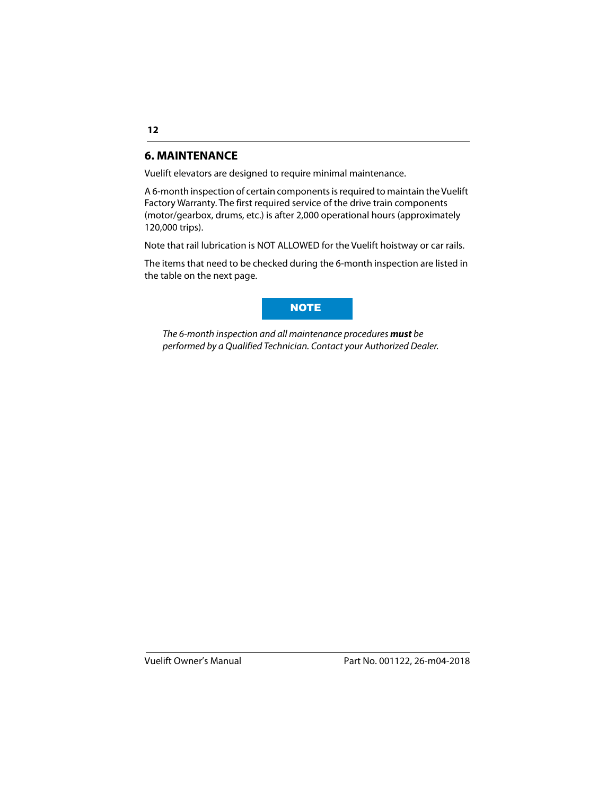# <span id="page-11-0"></span>**6. MAINTENANCE**

Vuelift elevators are designed to require minimal maintenance.

A 6-month inspection of certain components is required to maintain the Vuelift Factory Warranty. The first required service of the drive train components (motor/gearbox, drums, etc.) is after 2,000 operational hours (approximately 120,000 trips).

Note that rail lubrication is NOT ALLOWED for the Vuelift hoistway or car rails.

The items that need to be checked during the 6-month inspection are listed in the table on the next page.



The 6-month inspection and all maintenance procedures **must** be performed by a Qualified Technician. Contact your Authorized Dealer.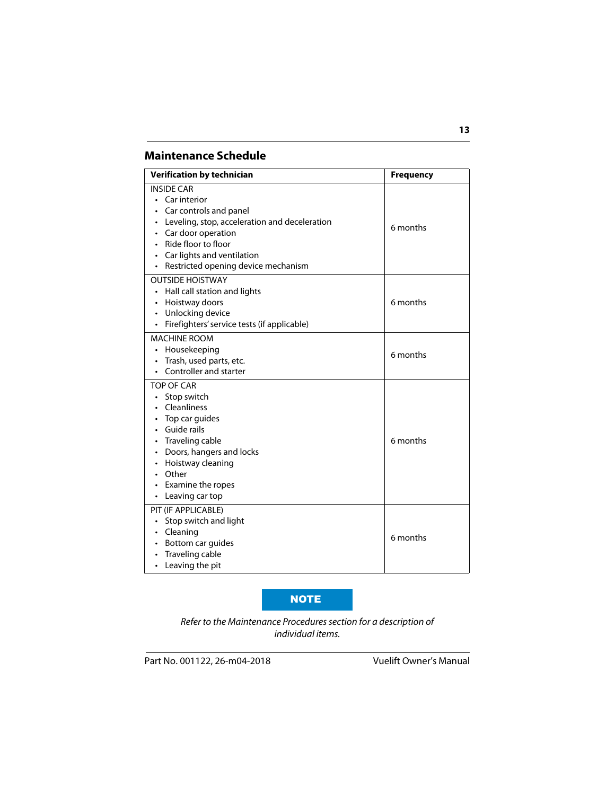# <span id="page-12-0"></span>**Maintenance Schedule**

| <b>Verification by technician</b>                                                                                                                                                                                                                           | <b>Frequency</b> |
|-------------------------------------------------------------------------------------------------------------------------------------------------------------------------------------------------------------------------------------------------------------|------------------|
| <b>INSIDE CAR</b><br>• Car interior<br>Car controls and panel<br>$\bullet$<br>• Leveling, stop, acceleration and deceleration<br>• Car door operation<br>Ride floor to floor<br>• Car lights and ventilation<br>Restricted opening device mechanism<br>٠    | 6 months         |
| <b>OUTSIDE HOISTWAY</b><br>• Hall call station and lights<br>• Hoistway doors<br>• Unlocking device<br>• Firefighters' service tests (if applicable)                                                                                                        | 6 months         |
| <b>MACHINE ROOM</b><br>Housekeeping<br>$\bullet$<br>Trash, used parts, etc.<br>$\bullet$<br>Controller and starter<br>$\bullet$                                                                                                                             | 6 months         |
| <b>TOP OF CAR</b><br>Stop switch<br>$\bullet$<br>• Cleanliness<br>$\cdot$ Top car quides<br>• Guide rails<br>• Traveling cable<br>• Doors, hangers and locks<br>• Hoistway cleaning<br>• Other<br>Examine the ropes<br>$\bullet$<br>$\cdot$ Leaving car top | 6 months         |
| PIT (IF APPLICABLE)<br>Stop switch and light<br>$\bullet$<br>• Cleaning<br>Bottom car guides<br>$\bullet$<br>• Traveling cable<br>Leaving the pit<br>$\bullet$                                                                                              | 6 months         |

#### NOTE

Refer to the Maintenance Procedures section for a description of individual items.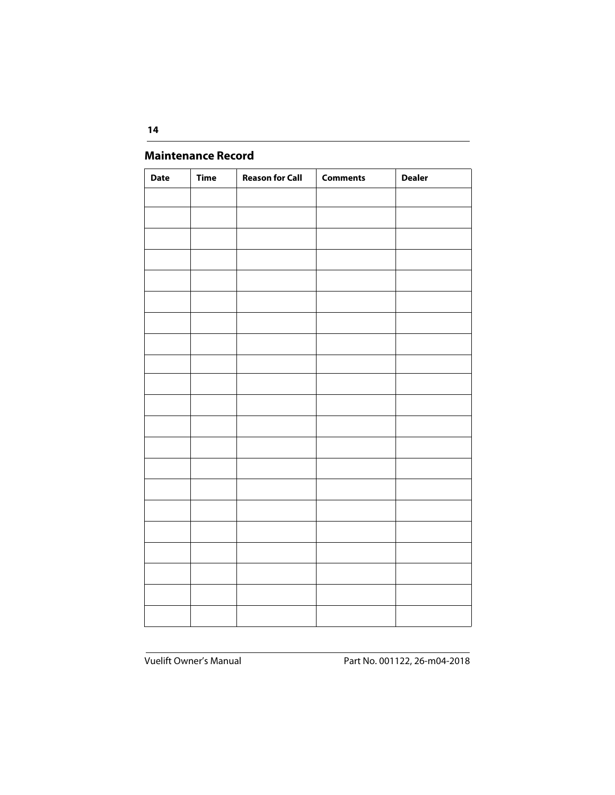# <span id="page-13-0"></span>**Maintenance Record**

| <b>Date</b> | <b>Time</b> | <b>Reason for Call</b> | <b>Comments</b> | <b>Dealer</b> |
|-------------|-------------|------------------------|-----------------|---------------|
|             |             |                        |                 |               |
|             |             |                        |                 |               |
|             |             |                        |                 |               |
|             |             |                        |                 |               |
|             |             |                        |                 |               |
|             |             |                        |                 |               |
|             |             |                        |                 |               |
|             |             |                        |                 |               |
|             |             |                        |                 |               |
|             |             |                        |                 |               |
|             |             |                        |                 |               |
|             |             |                        |                 |               |
|             |             |                        |                 |               |
|             |             |                        |                 |               |
|             |             |                        |                 |               |
|             |             |                        |                 |               |
|             |             |                        |                 |               |
|             |             |                        |                 |               |
|             |             |                        |                 |               |
|             |             |                        |                 |               |
|             |             |                        |                 |               |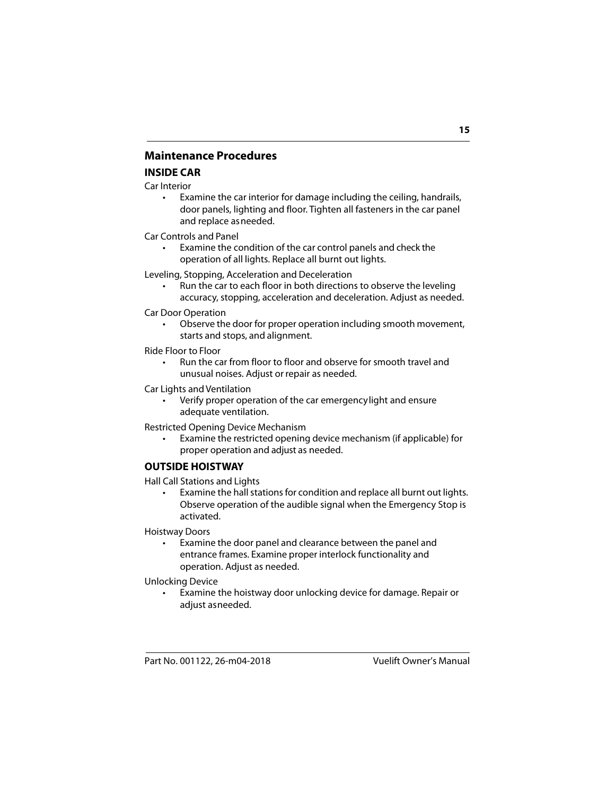# **Maintenance Procedures**

#### **INSIDE CAR**

Car Interior

• Examine the car interior for damage including the ceiling, handrails, door panels, lighting and floor. Tighten all fasteners in the car panel and replace as needed.

Car Controls and Panel

Examine the condition of the car control panels and check the operation of all lights. Replace all burnt out lights.

Leveling, Stopping, Acceleration and Deceleration

• Run the car to each floor in both directions to observe the leveling accuracy, stopping, acceleration and deceleration. Adjust as needed.

Car Door Operation

• Observe the door for proper operation including smooth movement, starts and stops, and alignment.

Ride Floor to Floor

• Run the car from floor to floor and observe for smooth travel and unusual noises. Adjust or repair as needed.

Car Lights and Ventilation

Verify proper operation of the car emergency light and ensure adequate ventilation.

Restricted Opening Device Mechanism

• Examine the restricted opening device mechanism (if applicable) for proper operation and adjust as needed.

#### **OUTSIDE HOISTWAY**

Hall Call Stations and Lights

• Examine the hall stations for condition and replace all burnt out lights. Observe operation of the audible signal when the Emergency Stop is activated.

Hoistway Doors

• Examine the door panel and clearance between the panel and entrance frames. Examine proper interlock functionality and operation. Adjust as needed.

Unlocking Device

• Examine the hoistway door unlocking device for damage. Repair or adjust as needed.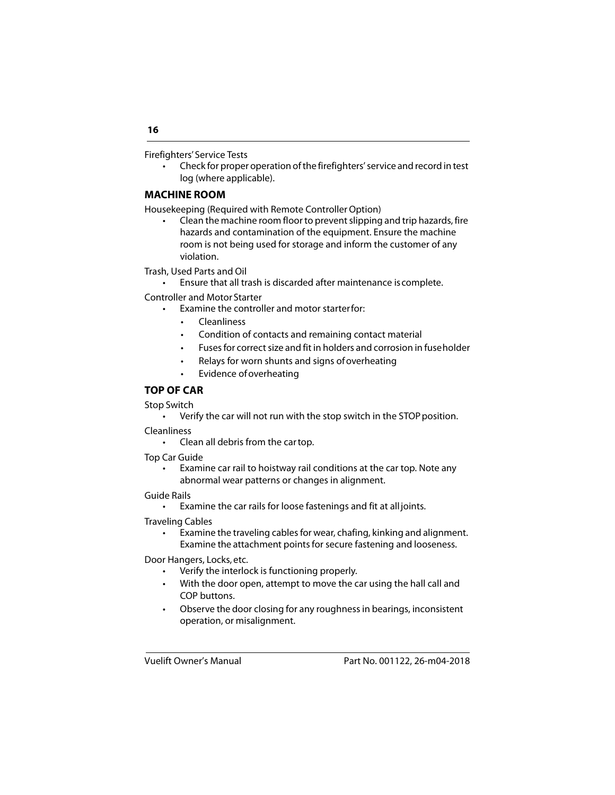Firefighters' Service Tests

• Check for proper operation of the firefighters' service and record in test log (where applicable).

#### **MACHINE ROOM**

Housekeeping (Required with Remote Controller Option)

• Clean the machine room floor to prevent slipping and trip hazards, fire hazards and contamination of the equipment. Ensure the machine room is not being used for storage and inform the customer of any violation.

Trash, Used Parts and Oil

• Ensure that all trash is discarded after maintenance is complete.

Controller and Motor Starter

- Examine the controller and motor starterfor:
	- Cleanliness
	- Condition of contacts and remaining contact material
	- Fuses for correct size and fit in holders and corrosion in fuse holder
	- Relays for worn shunts and signs of overheating
	- Evidence of overheating

#### **TOP OF CAR**

Stop Switch

• Verify the car will not run with the stop switch in the STOP position.

**Cleanliness** 

• Clean all debris from the car top.

Top Car Guide

• Examine car rail to hoistway rail conditions at the car top. Note any abnormal wear patterns or changes in alignment.

Guide Rails

• Examine the car rails for loose fastenings and fit at all joints.

Traveling Cables

Examine the traveling cables for wear, chafing, kinking and alignment. Examine the attachment points for secure fastening and looseness.

Door Hangers, Locks, etc.

- Verify the interlock is functioning properly.
- With the door open, attempt to move the car using the hall call and COP buttons.
- Observe the door closing for any roughness in bearings, inconsistent operation, or misalignment.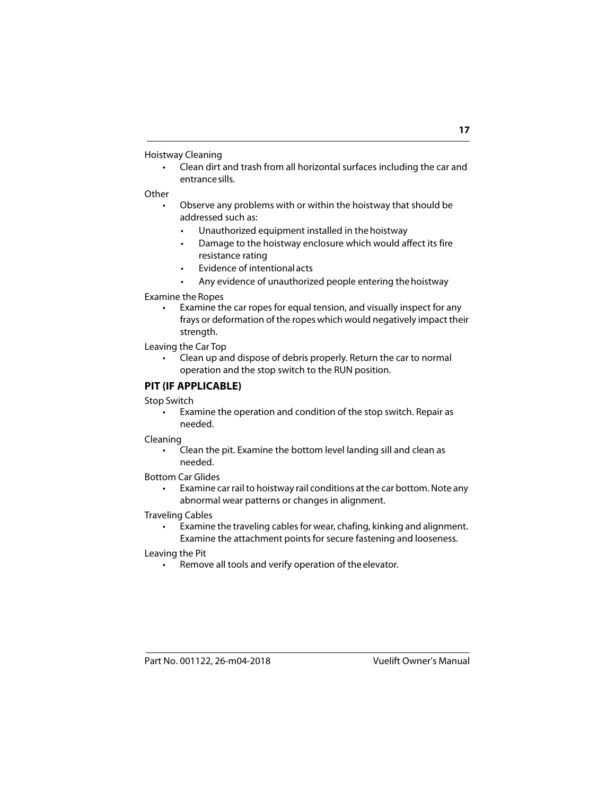Hoistway Cleaning

• Clean dirt and trash from all horizontal surfaces including the car and entrance sills.

#### Other

- Observe any problems with or within the hoistway that should be addressed such as:
	- Unauthorized equipment installed in the hoistway
	- Damage to the hoistway enclosure which would affect its fire resistance rating
	- Evidence of intentional acts
	- Any evidence of unauthorized people entering the hoistway

#### Examine the Ropes

• Examine the car ropes for equal tension, and visually inspect for any frays or deformation of the ropes which would negatively impact their strenath.

Leaving the Car Top

• Clean up and dispose of debris properly. Return the car to normal operation and the stop switch to the RUN position.

#### **PIT (IF APPLICABLE)**

Stop Switch

• Examine the operation and condition of the stop switch. Repair as needed.

Cleaning

• Clean the pit. Examine the bottom level landing sill and clean as needed.

Bottom Car Glides

• Examine car rail to hoistway rail conditions at the car bottom. Note any abnormal wear patterns or changes in alignment.

Traveling Cables

• Examine the traveling cables for wear, chafing, kinking and alignment. Examine the attachment points for secure fastening and looseness.

Leaving the Pit

Remove all tools and verify operation of the elevator.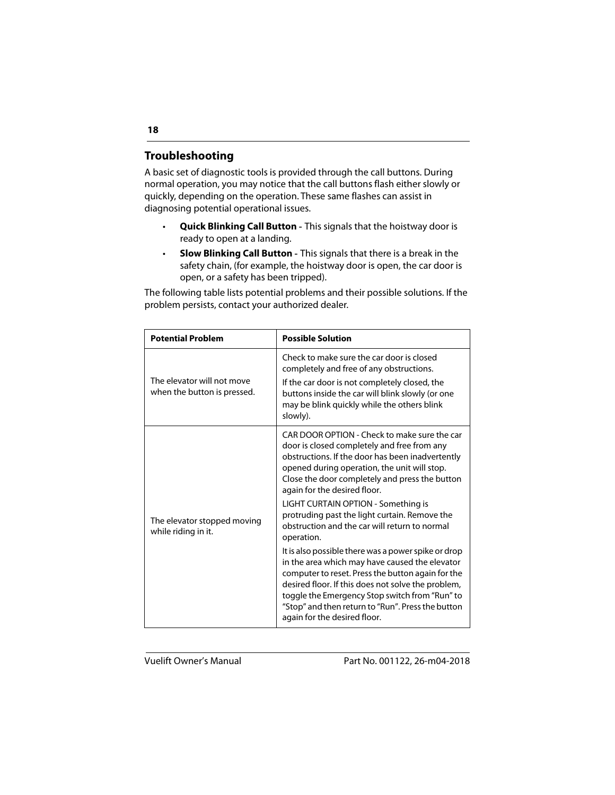# **Troubleshooting**

A basic set of diagnostic tools is provided through the call buttons. During normal operation, you may notice that the call buttons flash either slowly or quickly, depending on the operation. These same flashes can assist in diagnosing potential operational issues.

- **Quick Blinking Call Button** This signals that the hoistway door is ready to open at a landing.
- **Slow Blinking Call Button** This signals that there is a break in the safety chain, (for example, the hoistway door is open, the car door is open, or a safety has been tripped).

The following table lists potential problems and their possible solutions. If the problem persists, contact your authorized dealer.

| <b>Potential Problem</b>                                  | <b>Possible Solution</b>                                                                                                                                                                                                                                                                                                                                |  |
|-----------------------------------------------------------|---------------------------------------------------------------------------------------------------------------------------------------------------------------------------------------------------------------------------------------------------------------------------------------------------------------------------------------------------------|--|
|                                                           | Check to make sure the car door is closed<br>completely and free of any obstructions.                                                                                                                                                                                                                                                                   |  |
| The elevator will not move<br>when the button is pressed. | If the car door is not completely closed, the<br>buttons inside the car will blink slowly (or one<br>may be blink quickly while the others blink<br>slowly).                                                                                                                                                                                            |  |
| The elevator stopped moving<br>while riding in it.        | CAR DOOR OPTION - Check to make sure the car<br>door is closed completely and free from any<br>obstructions. If the door has been inadvertently<br>opened during operation, the unit will stop.<br>Close the door completely and press the button<br>again for the desired floor.                                                                       |  |
|                                                           | LIGHT CURTAIN OPTION - Something is<br>protruding past the light curtain. Remove the<br>obstruction and the car will return to normal<br>operation.                                                                                                                                                                                                     |  |
|                                                           | It is also possible there was a power spike or drop<br>in the area which may have caused the elevator<br>computer to reset. Press the button again for the<br>desired floor. If this does not solve the problem,<br>toggle the Emergency Stop switch from "Run" to<br>"Stop" and then return to "Run". Press the button<br>again for the desired floor. |  |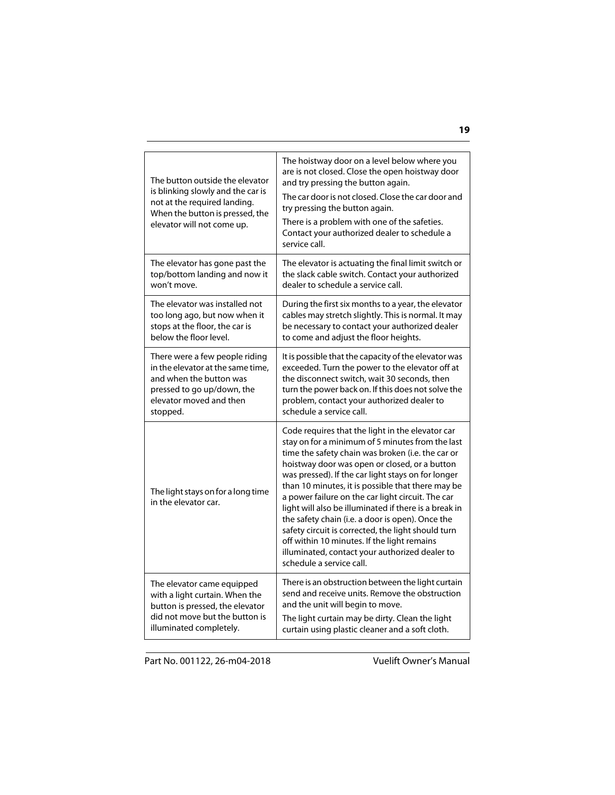| The button outside the elevator<br>is blinking slowly and the car is<br>not at the required landing.<br>When the button is pressed, the<br>elevator will not come up. | The hoistway door on a level below where you<br>are is not closed. Close the open hoistway door<br>and try pressing the button again.<br>The car door is not closed. Close the car door and<br>try pressing the button again.<br>There is a problem with one of the safeties.<br>Contact your authorized dealer to schedule a<br>service call.                                                                                                                                                                                                                                                                                                                             |
|-----------------------------------------------------------------------------------------------------------------------------------------------------------------------|----------------------------------------------------------------------------------------------------------------------------------------------------------------------------------------------------------------------------------------------------------------------------------------------------------------------------------------------------------------------------------------------------------------------------------------------------------------------------------------------------------------------------------------------------------------------------------------------------------------------------------------------------------------------------|
| The elevator has gone past the                                                                                                                                        | The elevator is actuating the final limit switch or                                                                                                                                                                                                                                                                                                                                                                                                                                                                                                                                                                                                                        |
| top/bottom landing and now it                                                                                                                                         | the slack cable switch. Contact your authorized                                                                                                                                                                                                                                                                                                                                                                                                                                                                                                                                                                                                                            |
| won't move.                                                                                                                                                           | dealer to schedule a service call.                                                                                                                                                                                                                                                                                                                                                                                                                                                                                                                                                                                                                                         |
| The elevator was installed not                                                                                                                                        | During the first six months to a year, the elevator                                                                                                                                                                                                                                                                                                                                                                                                                                                                                                                                                                                                                        |
| too long ago, but now when it                                                                                                                                         | cables may stretch slightly. This is normal. It may                                                                                                                                                                                                                                                                                                                                                                                                                                                                                                                                                                                                                        |
| stops at the floor, the car is                                                                                                                                        | be necessary to contact your authorized dealer                                                                                                                                                                                                                                                                                                                                                                                                                                                                                                                                                                                                                             |
| below the floor level.                                                                                                                                                | to come and adjust the floor heights.                                                                                                                                                                                                                                                                                                                                                                                                                                                                                                                                                                                                                                      |
| There were a few people riding                                                                                                                                        | It is possible that the capacity of the elevator was                                                                                                                                                                                                                                                                                                                                                                                                                                                                                                                                                                                                                       |
| in the elevator at the same time,                                                                                                                                     | exceeded. Turn the power to the elevator off at                                                                                                                                                                                                                                                                                                                                                                                                                                                                                                                                                                                                                            |
| and when the button was                                                                                                                                               | the disconnect switch, wait 30 seconds, then                                                                                                                                                                                                                                                                                                                                                                                                                                                                                                                                                                                                                               |
| pressed to go up/down, the                                                                                                                                            | turn the power back on. If this does not solve the                                                                                                                                                                                                                                                                                                                                                                                                                                                                                                                                                                                                                         |
| elevator moved and then                                                                                                                                               | problem, contact your authorized dealer to                                                                                                                                                                                                                                                                                                                                                                                                                                                                                                                                                                                                                                 |
| stopped.                                                                                                                                                              | schedule a service call.                                                                                                                                                                                                                                                                                                                                                                                                                                                                                                                                                                                                                                                   |
| The light stays on for a long time<br>in the elevator car.                                                                                                            | Code requires that the light in the elevator car<br>stay on for a minimum of 5 minutes from the last<br>time the safety chain was broken (i.e. the car or<br>hoistway door was open or closed, or a button<br>was pressed). If the car light stays on for longer<br>than 10 minutes, it is possible that there may be<br>a power failure on the car light circuit. The car<br>light will also be illuminated if there is a break in<br>the safety chain (i.e. a door is open). Once the<br>safety circuit is corrected, the light should turn<br>off within 10 minutes. If the light remains<br>illuminated, contact your authorized dealer to<br>schedule a service call. |
| The elevator came equipped                                                                                                                                            | There is an obstruction between the light curtain                                                                                                                                                                                                                                                                                                                                                                                                                                                                                                                                                                                                                          |
| with a light curtain. When the                                                                                                                                        | send and receive units. Remove the obstruction                                                                                                                                                                                                                                                                                                                                                                                                                                                                                                                                                                                                                             |
| button is pressed, the elevator                                                                                                                                       | and the unit will begin to move.                                                                                                                                                                                                                                                                                                                                                                                                                                                                                                                                                                                                                                           |
| did not move but the button is                                                                                                                                        | The light curtain may be dirty. Clean the light                                                                                                                                                                                                                                                                                                                                                                                                                                                                                                                                                                                                                            |
| illuminated completely.                                                                                                                                               | curtain using plastic cleaner and a soft cloth.                                                                                                                                                                                                                                                                                                                                                                                                                                                                                                                                                                                                                            |